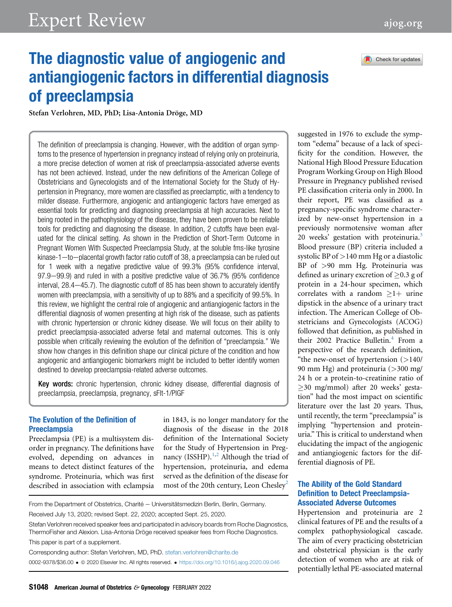# Expert Review [ajog.org](http://www.AJOG.org)



## The diagnostic value of angiogenic and antiangiogenic factors in differential diagnosis of preeclampsia

Stefan Verlohren, MD, PhD; Lisa-Antonia Dröge, MD

The definition of preeclampsia is changing. However, with the addition of organ symptoms to the presence of hypertension in pregnancy instead of relying only on proteinuria, a more precise detection of women at risk of preeclampsia-associated adverse events has not been achieved. Instead, under the new definitions of the American College of Obstetricians and Gynecologists and of the International Society for the Study of Hypertension in Pregnancy, more women are classified as preeclamptic, with a tendency to milder disease. Furthermore, angiogenic and antiangiogenic factors have emerged as essential tools for predicting and diagnosing preeclampsia at high accuracies. Next to being rooted in the pathophysiology of the disease, they have been proven to be reliable tools for predicting and diagnosing the disease. In addition, 2 cutoffs have been evaluated for the clinical setting. As shown in the Prediction of Short-Term Outcome in Pregnant Women With Suspected Preeclampsia Study, at the soluble fms-like tyrosine  $kinase-1$  -to-placental growth factor ratio cutoff of 38, a preeclampsia can be ruled out for 1 week with a negative predictive value of 99.3% (95% confidence interval, 97.9–99.9) and ruled in with a positive predictive value of 36.7% (95% confidence  $interval$ , 28.4 $-45.7$ ). The diagnostic cutoff of 85 has been shown to accurately identify women with preeclampsia, with a sensitivity of up to 88% and a specificity of 99.5%. In this review, we highlight the central role of angiogenic and antiangiogenic factors in the differential diagnosis of women presenting at high risk of the disease, such as patients with chronic hypertension or chronic kidney disease. We will focus on their ability to predict preeclampsia-associated adverse fetal and maternal outcomes. This is only possible when critically reviewing the evolution of the definition of "preeclampsia." We show how changes in this definition shape our clinical picture of the condition and how angiogenic and antiangiogenic biomarkers might be included to better identify women destined to develop preeclampsia-related adverse outcomes.

Key words: chronic hypertension, chronic kidney disease, differential diagnosis of preeclampsia, preeclampsia, pregnancy, sFlt-1/PlGF

## The Evolution of the Definition of Preeclampsia

Preeclampsia (PE) is a multisystem disorder in pregnancy. The definitions have evolved, depending on advances in means to detect distinct features of the syndrome. Proteinuria, which was first described in association with eclampsia in 1843, is no longer mandatory for the diagnosis of the disease in the 2018 definition of the International Society for the Study of Hypertension in Preg-nancy (ISSHP).<sup>[1,](#page-8-0)[2](#page-8-1)</sup> Although the triad of hypertension, proteinuria, and edema served as the definition of the disease for most of the [2](#page-8-1)0th century, Leon Chesley<sup>2</sup>

From the Department of Obstetrics, Charité - Universitätsmedizin Berlin, Berlin, Germany. Received July 13, 2020; revised Sept. 22, 2020; accepted Sept. 25, 2020.

Stefan Verlohren received speaker fees and participated in advisory boards from Roche Diagnostics, ThermoFisher and Alexion. Lisa-Antonia Dröge received speaker fees from Roche Diagnostics.

This paper is part of a supplement.

Corresponding author: Stefan Verlohren, MD, PhD. [stefan.verlohren@charite.de](mailto:stefan.verlohren@charite.de) 0002-9378/\$36.00 ª 2020 Elsevier Inc. All rights reserved. <https://doi.org/10.1016/j.ajog.2020.09.046> suggested in 1976 to exclude the symptom "edema" because of a lack of specificity for the condition. However, the National High Blood Pressure Education Program Working Group on High Blood Pressure in Pregnancy published revised PE classification criteria only in 2000. In their report, PE was classified as a pregnancy-specific syndrome characterized by new-onset hypertension in a previously normotensive woman after 20 weeks' gestation with proteinuria.<sup>[3](#page-8-2)</sup> Blood pressure (BP) criteria included a systolic BP of >140 mm Hg or a diastolic BP of >90 mm Hg. Proteinuria was defined as urinary excretion of  $\geq 0.3$  g of protein in a 24-hour specimen, which correlates with a random  $\geq 1+$  urine dipstick in the absence of a urinary tract infection. The American College of Obstetricians and Gynecologists (ACOG) followed that definition, as published in their 2002 Practice Bulletin. $4$  From a perspective of the research definition, "the new-onset of hypertension (>140/ 90 mm Hg) and proteinuria (>300 mg/ 24 h or a protein-to-creatinine ratio of 30 mg/mmol) after 20 weeks' gestation" had the most impact on scientific literature over the last 20 years. Thus, until recently, the term "preeclampsia" is implying "hypertension and proteinuria." This is critical to understand when elucidating the impact of the angiogenic and antiangiogenic factors for the differential diagnosis of PE.

## The Ability of the Gold Standard Definition to Detect Preeclampsia-Associated Adverse Outcomes

Hypertension and proteinuria are 2 clinical features of PE and the results of a complex pathophysiological cascade. The aim of every practicing obstetrician and obstetrical physician is the early detection of women who are at risk of potentially lethal PE-associated maternal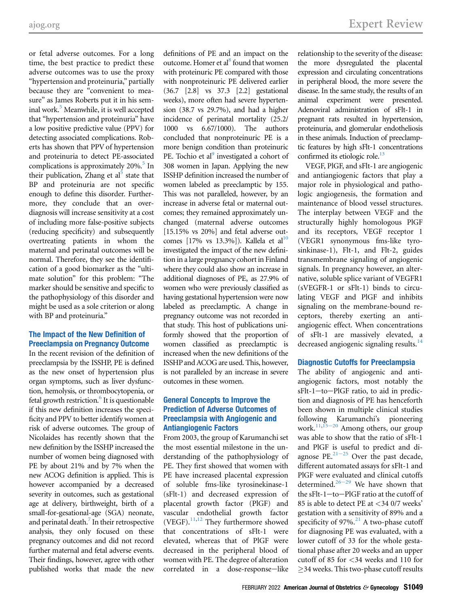or fetal adverse outcomes. For a long time, the best practice to predict these adverse outcomes was to use the proxy "hypertension and proteinuria," partially because they are "convenient to measure" as James Roberts put it in his sem-inal work.<sup>[5](#page-8-4)</sup> Meanwhile, it is well accepted that "hypertension and proteinuria" have a low positive predictive value (PPV) for detecting associated complications. Roberts has shown that PPV of hypertension and proteinuria to detect PE-associated complications is approximately  $20\%$ .<sup>5</sup> In their publication, Zhang et al<sup>5</sup> state that BP and proteinuria are not specific enough to define this disorder. Furthermore, they conclude that an overdiagnosis will increase sensitivity at a cost of including more false-positive subjects (reducing specificity) and subsequently overtreating patients in whom the maternal and perinatal outcomes will be normal. Therefore, they see the identification of a good biomarker as the "ultimate solution" for this problem: "The marker should be sensitive and specific to the pathophysiology of this disorder and might be used as a sole criterion or along with BP and proteinuria."

## The Impact of the New Definition of Preeclampsia on Pregnancy Outcome

In the recent revision of the definition of preeclampsia by the ISSHP, PE is defined as the new onset of hypertension plus organ symptoms, such as liver dysfunction, hemolysis, or thrombocytopenia, or fetal growth restriction. $6$  It is questionable if this new definition increases the specificity and PPV to better identify women at risk of adverse outcomes. The group of Nicolaides has recently shown that the new definition by the ISSHP increased the number of women being diagnosed with PE by about 21% and by 7% when the new ACOG definition is applied. This is however accompanied by a decreased severity in outcomes, such as gestational age at delivery, birthweight, birth of a small-for-gesational-age (SGA) neonate, and perinatal death. $\frac{7}{1}$  In their retrospective analysis, they only focused on these pregnancy outcomes and did not record further maternal and fetal adverse events. Their findings, however, agree with other published works that made the new

definitions of PE and an impact on the outcome. Homer et al<sup>8</sup> found that women with proteinuric PE compared with those with nonproteinuric PE delivered earlier (36.7 [2.8] vs 37.3 [2.2] gestational weeks), more often had severe hypertension (38.7 vs 29.7%), and had a higher incidence of perinatal mortality (25.2/ 1000 vs 6.67/1000). The authors concluded that nonproteinuric PE is a more benign condition than proteinuric PE. Tochio et al<sup>9</sup> investigated a cohort of 308 women in Japan. Applying the new ISSHP definition increased the number of women labeled as preeclamptic by 155. This was not paralleled, however, by an increase in adverse fetal or maternal outcomes; they remained approximately unchanged (maternal adverse outcomes [15.15% vs 20%] and fetal adverse outcomes  $[17\% \text{ vs } 13.3\%]$ ). Kallela et al<sup>[10](#page-8-9)</sup> investigated the impact of the new definition in a large pregnancy cohort in Finland where they could also show an increase in additional diagnoses of PE, as 27.9% of women who were previously classified as having gestational hypertension were now labeled as preeclamptic. A change in pregnancy outcome was not recorded in that study. This host of publications uniformly showed that the proportion of women classified as preeclamptic is increased when the new definitions of the ISSHP and ACOG are used. This, however, is not paralleled by an increase in severe outcomes in these women.

## General Concepts to Improve the Prediction of Adverse Outcomes of Preeclampsia with Angiogenic and Antiangiogenic Factors

From 2003, the group of Karumanchi set the most essential milestone in the understanding of the pathophysiology of PE. They first showed that women with PE have increased placental expression of soluble fms-like tyrosinekinase-1 (sFlt-1) and decreased expression of placental growth factor (PlGF) and vascular endothelial growth factor (VEGF). $^{11,12}$  $^{11,12}$  $^{11,12}$  $^{11,12}$  They furthermore showed that concentrations of sFlt-1 were elevated, whereas that of PlGF were decreased in the peripheral blood of women with PE. The degree of alteration correlated in a dose-response-like

relationship to the severity of the disease: the more dysregulated the placental expression and circulating concentrations in peripheral blood, the more severe the disease. In the same study, the results of an animal experiment were presented. Adenoviral administration of sFlt-1 in pregnant rats resulted in hypertension, proteinuria, and glomerular endotheliosis in these animals. Induction of preeclamptic features by high sFlt-1 concentrations confirmed its etiologic role.<sup>[13](#page-8-12)</sup>

VEGF, PlGF, and sFlt-1 are angiogenic and antiangiogenic factors that play a major role in physiological and pathologic angiogenesis, the formation and maintenance of blood vessel structures. The interplay between VEGF and the structurally highly homologous PlGF and its receptors, VEGF receptor 1 (VEGR1 synonymous fms-like tyrosinkinase-1), Flt-1, and Flt-2, guides transmembrane signaling of angiogenic signals. In pregnancy however, an alternative, soluble splice variant of VEGFR1 (sVEGFR-1 or sFlt-1) binds to circulating VEGF and PlGF and inhibits signaling on the membrane-bound receptors, thereby exerting an antiangiogenic effect. When concentrations of sFlt-1 are massively elevated, a decreased angiogenic signaling results.<sup>[14](#page-8-13)</sup>

## Diagnostic Cutoffs for Preeclampsia

The ability of angiogenic and antiangiogenic factors, most notably the sFlt-1-to-PlGF ratio, to aid in prediction and diagnosis of PE has henceforth been shown in multiple clinical studies following Karumanchi's pioneering work. $11,15-20$  $11,15-20$  $11,15-20$  Among others, our group was able to show that the ratio of sFlt-1 and PlGF [is use](#page-9-0)ful to predict and diagnose PE. $^{21-25}$  Over the past decade, different automated assays for sFlt-1 and PlGF were e[valua](#page-9-1)ted and clinical cutoffs determined.<sup>26-29</sup> We have shown that the sFlt-1 $-to$ -PlGF ratio at the cutoff of 85 is able to detect PE at <34 0/7 weeks' gestation with a sensitivity of 89% and a specificity of  $97\%$ <sup>[21](#page-9-0)</sup> A two-phase cutoff for diagnosing PE was evaluated, with a lower cutoff of 33 for the whole gestational phase after 20 weeks and an upper cutoff of 85 for <34 weeks and 110 for 34 weeks. This two-phase cutoff results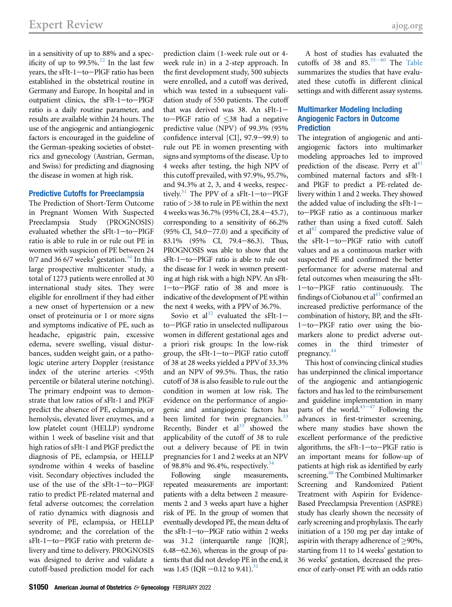in a sensitivity of up to 88% and a specificity of up to  $99.5\%$ <sup>[22](#page-9-2)</sup> In the last few years, the sFlt-1-to-PlGF ratio has been established in the obstetrical routine in Germany and Europe. In hospital and in outpatient clinics, the sFlt-1-to-PlGF ratio is a daily routine parameter, and results are available within 24 hours. The use of the angiogenic and antiangiogenic factors is encouraged in the guideline of the German-speaking societies of obstetrics and gynecology (Austrian, German, and Swiss) for predicting and diagnosing the disease in women at high risk.

#### Predictive Cutoffs for Preeclampsia

The Prediction of Short-Term Outcome in Pregnant Women With Suspected Preeclampsia Study (PROGNOSIS) evaluated whether the sFlt-1-to-PlGF ratio is able to rule in or rule out PE in women with suspicion of PE between 24 0/7 and 36 6/7 weeks' gestation. $30$  In this large prospective multicenter study, a total of 1273 patients were enrolled at 30 international study sites. They were eligible for enrollment if they had either a new onset of hypertension or a new onset of proteinuria or 1 or more signs and symptoms indicative of PE, such as headache, epigastric pain, excessive edema, severe swelling, visual disturbances, sudden weight gain, or a pathologic uterine artery Doppler (resistance index of the uterine arteries <95th percentile or bilateral uterine notching). The primary endpoint was to demonstrate that low ratios of sFlt-1 and PlGF predict the absence of PE, eclampsia, or hemolysis, elevated liver enzymes, and a low platelet count (HELLP) syndrome within 1 week of baseline visit and that high ratios of sFlt-1 and PlGF predict the diagnosis of PE, eclampsia, or HELLP syndrome within 4 weeks of baseline visit. Secondary objectives included the use of the use of the  $sFlt-1$ -to-PlGF ratio to predict PE-related maternal and fetal adverse outcomes; the correlation of ratio dynamics with diagnosis and severity of PE, eclampsia, or HELLP syndrome; and the correlation of the sFlt-1-to-PlGF ratio with preterm delivery and time to delivery. PROGNOSIS was designed to derive and validate a cutoff-based prediction model for each

prediction claim (1-week rule out or 4 week rule in) in a 2-step approach. In the first development study, 500 subjects were enrolled, and a cutoff was derived, which was tested in a subsequent validation study of 550 patients. The cutoff that was derived was 38. An  $sFlt-1$ to-PlGF ratio of  $\leq$ 38 had a negative predictive value (NPV) of 99.3% (95% confidence interval  $[CI]$ , 97.9-99.9) to rule out PE in women presenting with signs and symptoms of the disease. Up to 4 weeks after testing, the high NPV of this cutoff prevailed, with 97.9%, 95.7%, and 94.3% at 2, 3, and 4 weeks, respectively.<sup>31</sup> The PPV of a sFlt-1-to-PlGF ratio of >38 to rule in PE within the next 4 weeks was 36.7% (95% CI, 28.4-45.7), corresponding to a sensitivity of 66.2% (95% CI, 54.0 $-77.0$ ) and a specificity of 83.1% (95% CI, 79.4–86.3). Thus, PROGNOSIS was able to show that the  $sFlt-1$ -to-PlGF ratio is able to rule out the disease for 1 week in women presenting at high risk with a high NPV. An sFlt-1-to-PlGF ratio of 38 and more is indicative of the development of PE within the next 4 weeks, with a PPV of 36.7%.

Sovio et al<sup>[32](#page-9-5)</sup> evaluated the sFlt-1to-PlGF ratio in unselected nulliparous women in different gestational ages and a priori risk groups: In the low-risk group, the  $sFlt-1$ -to-PlGF ratio cutoff of 38 at 28 weeks yielded a PPV of 33.3% and an NPV of 99.5%. Thus, the ratio cutoff of 38 is also feasible to rule out the condition in women at low risk. The evidence on the performance of angiogenic and antiangiogenic factors has been limited for twin pregnancies.<sup>[33](#page-9-6)</sup> Recently, Binder et  $al^{33}$  $al^{33}$  $al^{33}$  showed the applicability of the cutoff of 38 to rule out a delivery because of PE in twin pregnancies for 1 and 2 weeks at an NPV of 98.8% and 96.4%, respectively. $34$ 

Following single measurements, repeated measurements are important: patients with a delta between 2 measurements 2 and 3 weeks apart have a higher risk of PE. In the group of women that eventually developed PE, the mean delta of the sFlt-1-to-PlGF ratio within 2 weeks was 31.2 (interquartile range [IQR],  $6.48-62.36$ ), whereas in the group of patients that did not develop PE in the end, it was 1.45 (IQR  $-0.12$  to 9.41).<sup>[31](#page-9-4)</sup>

A host of studies [has ev](#page-9-8)aluated the cutoffs of 38 and  $85.35-40$  The [Table](#page-3-0) summarizes the studies that have evaluated these cutoffs in different clinical settings and with different assay systems.

## Multimarker Modeling Including Angiogenic Factors in Outcome **Prediction**

The integration of angiogenic and antiangiogenic factors into multimarker modeling approaches led to improved prediction of the disease. Perry et  $al<sup>41</sup>$ combined maternal factors and sFlt-1 and PlGF to predict a PE-related delivery within 1 and 2 weeks. They showed the added value of including the  $sFlt-1$ to-PlGF ratio as a continuous marker rather than using a fixed cutoff. Saleh et al<sup>[42](#page-9-10)</sup> compared the predictive value of the  $sF1-to-P1GF$  ratio with cutoff values and as a continuous marker with suspected PE and confirmed the better performance for adverse maternal and fetal outcomes when measuring the sFlt-1-to-PlGF ratio continuously. The findings of Ciobanou et  $al<sup>43</sup>$  confirmed an increased predictive performance of the combination of history, BP, and the sFlt-1-to-PlGF ratio over using the biomarkers alone to predict adverse outcomes in the third trimester of pregnancy.<sup>[44](#page-9-12)</sup>

This host of convincing clinical studies has underpinned the clinical importance of the angiogenic and antiangiogenic factors and has led to the reimbursement and guideline implementation in many parts of the world. $45-47$  $45-47$  Following the advances in first-trimester screening, where many studies have shown the excellent performance of the predictive algorithms, the  $sFlt-1$ -to-PlGF ratio is an important means for follow-up of patients at high risk as identified by early screening.<sup>[48](#page-9-14)</sup> The Combined Multimarker Screening and Randomized Patient Treatment with Aspirin for Evidence-Based Preeclampsia Prevention (ASPRE) study has clearly shown the necessity of early screening and prophylaxis. The early initiation of a 150 mg per day intake of aspirin with therapy adherence of  $\geq$ 90%, starting from 11 to 14 weeks' gestation to 36 weeks' gestation, decreased the presence of early-onset PE with an odds ratio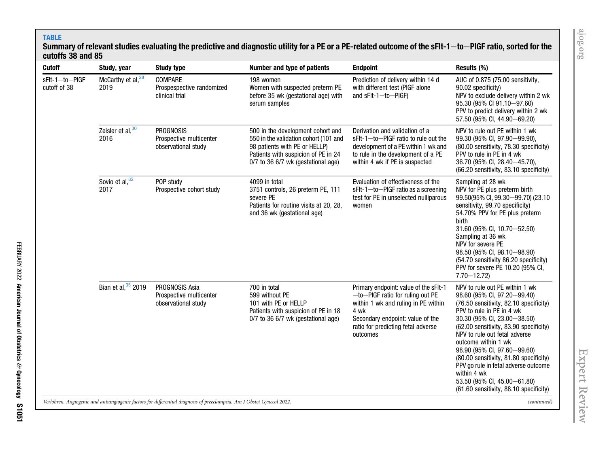## TABLE

FEBRUARY 2022

American Journal of Obstetrics

&

Gynecology

S1051

## <span id="page-3-0"></span>Summary of relevant studies evaluating the predictive and diagnostic utility for a PE or a PE-related outcome of the sFIt-1 $-$ to $-$ PlGF ratio, sorted for the cutoffs 38 and 85

| <b>Cutoff</b>                  | Study, year                                                                                                            | <b>Study type</b>                                                  | Number and type of patients                                                                                                                                                              | <b>Endpoint</b>                                                                                                                                                                                                   | Results (%)                                                                                                                                                                                                                                                                                                                                                                                                                                                                      |  |
|--------------------------------|------------------------------------------------------------------------------------------------------------------------|--------------------------------------------------------------------|------------------------------------------------------------------------------------------------------------------------------------------------------------------------------------------|-------------------------------------------------------------------------------------------------------------------------------------------------------------------------------------------------------------------|----------------------------------------------------------------------------------------------------------------------------------------------------------------------------------------------------------------------------------------------------------------------------------------------------------------------------------------------------------------------------------------------------------------------------------------------------------------------------------|--|
| sFlt-1-to-PIGF<br>cutoff of 38 | McCarthy et al, <sup>28</sup><br>2019                                                                                  | COMPARE<br>Prospespective randomized<br>clinical trial             | 198 women<br>Women with suspected preterm PE<br>before 35 wk (gestational age) with<br>serum samples                                                                                     | Prediction of delivery within 14 d<br>with different test (PIGF alone<br>and $sF1-1-to-P1GF$                                                                                                                      | AUC of 0.875 (75.00 sensitivity,<br>90.02 specificity)<br>NPV to exclude delivery within 2 wk<br>95.30 (95% CI 91.10-97.60)<br>PPV to predict delivery within 2 wk<br>57.50 (95% Cl, 44.90-69.20)                                                                                                                                                                                                                                                                                |  |
|                                | Zeisler et al, 30<br>2016                                                                                              | <b>PROGNOSIS</b><br>Prospective multicenter<br>observational study | 500 in the development cohort and<br>550 in the validation cohort (101 and<br>98 patients with PE or HELLP)<br>Patients with suspicion of PE in 24<br>0/7 to 36 6/7 wk (gestational age) | Derivation and validation of a<br>sFIt-1-to-PIGF ratio to rule out the<br>development of a PE within 1 wk and<br>to rule in the development of a PE<br>within 4 wk if PE is suspected                             | NPV to rule out PE within 1 wk<br>99.30 (95% CI, 97.90-99.90),<br>(80.00 sensitivity, 78.30 specificity)<br>PPV to rule in PE in 4 wk<br>36.70 (95% CI, 28.40-45.70),<br>(66.20 sensitivity, 83.10 specificity)                                                                                                                                                                                                                                                                  |  |
|                                | Sovio et al, 32<br>2017                                                                                                | POP study<br>Prospective cohort study                              | 4099 in total<br>3751 controls, 26 preterm PE, 111<br>severe PE<br>Patients for routine visits at 20, 28,<br>and 36 wk (gestational age)                                                 | Evaluation of effectiveness of the<br>sFlt-1-to-PIGF ratio as a screening<br>test for PE in unselected nulliparous<br>women                                                                                       | Sampling at 28 wk<br>NPV for PE plus preterm birth<br>99.50(95% CI, 99.30-99.70) (23.10<br>sensitivity, 99.70 specificity)<br>54.70% PPV for PE plus preterm<br>birth<br>31.60 (95% CI, 10.70 - 52.50)<br>Sampling at 36 wk<br>NPV for severe PE<br>98.50 (95% CI, 98.10-98.90)<br>(54.70 sensitivity 86.20 specificity)<br>PPV for severe PE 10.20 (95% CI,<br>$7.70 - 12.72$                                                                                                   |  |
|                                | Bian et al, 35 2019                                                                                                    | PROGNOSIS Asia<br>Prospective multicenter<br>observational study   | 700 in total<br>599 without PE<br>101 with PE or HELLP<br>Patients with suspicion of PE in 18<br>0/7 to 36 6/7 wk (gestational age)                                                      | Primary endpoint: value of the sFIt-1<br>$-to$ –PIGF ratio for ruling out PE<br>within 1 wk and ruling in PE within<br>4 wk<br>Secondary endpoint: value of the<br>ratio for predicting fetal adverse<br>outcomes | NPV to rule out PE within 1 wk<br>98.60 (95% CI, 97.20-99.40)<br>(76.50 sensitivity, 82.10 specificity)<br>PPV to rule in PE in 4 wk<br>30.30 (95% CI, 23.00 - 38.50)<br>(62.00 sensitivity, 83.90 specificity)<br>NPV to rule out fetal adverse<br>outcome within 1 wk<br>98.90 (95% CI, 97.60-99.60)<br>(80.00 sensitivity, 81.80 specificity)<br>PPV go rule in fetal adverse outcome<br>within 4 wk<br>53.50 (95% CI, 45.00-61.80)<br>(61.60 sensitivity, 88.10 specificity) |  |
|                                | Verlohren. Angiogenic and antiangiogenic factors for differential diagnosis of preeclampsia. Am J Obstet Gynecol 2022. |                                                                    |                                                                                                                                                                                          |                                                                                                                                                                                                                   |                                                                                                                                                                                                                                                                                                                                                                                                                                                                                  |  |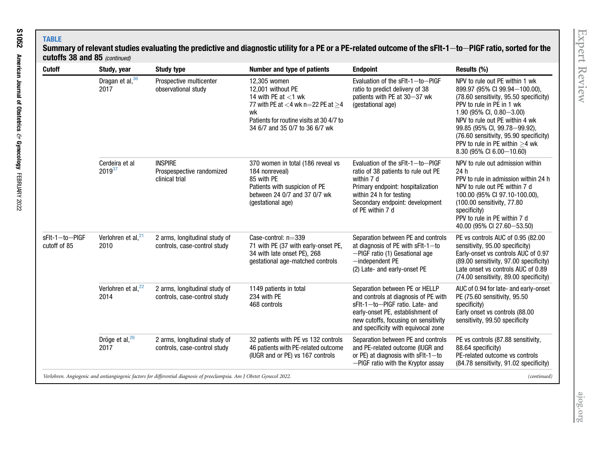## TABLESummary of relevant studies evaluating the predictive and diagnostic utility for a PE or a PE-related outcome of the sFIt-1 $-$ to $-$ PIGF ratio, sorted for the cutoffs 38 and 85  $_{(continued)}$

| <b>Cutoff</b>                  | Study, year                            | <b>Study type</b>                                                                                                      | Number and type of patients                                                                                                                                                                   | <b>Endpoint</b>                                                                                                                                                                                                              | Results (%)                                                                                                                                                                                                                                                                                                                                         |
|--------------------------------|----------------------------------------|------------------------------------------------------------------------------------------------------------------------|-----------------------------------------------------------------------------------------------------------------------------------------------------------------------------------------------|------------------------------------------------------------------------------------------------------------------------------------------------------------------------------------------------------------------------------|-----------------------------------------------------------------------------------------------------------------------------------------------------------------------------------------------------------------------------------------------------------------------------------------------------------------------------------------------------|
|                                | Dragan et al, 36<br>2017               | Prospective multicenter<br>observational study                                                                         | 12,305 women<br>12.001 without PE<br>14 with PE at $<$ 1 wk<br>77 with PE at $<$ 4 wk n=22 PE at $\geq$ 4<br>wk<br>Patients for routine visits at 30 4/7 to<br>34 6/7 and 35 0/7 to 36 6/7 wk | Evaluation of the sFIt-1-to-PIGF<br>ratio to predict delivery of 38<br>patients with PE at 30-37 wk<br>(gestational age)                                                                                                     | NPV to rule out PE within 1 wk<br>899.97 (95% CI 99.94-100.00),<br>(78.60 sensitivity, 95.50 specificity)<br>PPV to rule in PE in 1 wk<br>1.90 (95% CI, $0.80 - 3.00$ )<br>NPV to rule out PE within 4 wk<br>99.85 (95% CI, 99.78-99.92),<br>(76.60 sensitivity, 95.90 specificity)<br>PPV to rule in PE within $>4$ wk<br>8.30 (95% CI 6.00-10.60) |
|                                | Cerdeira et al<br>$2019^{37}$          | <b>INSPIRE</b><br>Prospespective randomized<br>clinical trial                                                          | 370 women in total (186 reveal vs<br>184 nonreveal)<br>85 with PE<br>Patients with suspicion of PE<br>between 24 0/7 and 37 0/7 wk<br>(gestational age)                                       | Evaluation of the sFIt-1-to-PIGF<br>ratio of 38 patients to rule out PE<br>within 7 d<br>Primary endpoint: hospitalization<br>within 24 h for testing<br>Secondary endpoint: development<br>of PE within 7 d                 | NPV to rule out admission within<br>24h<br>PPV to rule in admission within 24 h<br>NPV to rule out PE within 7 d<br>100.00 (95% CI 97.10-100.00),<br>(100.00 sensitivity, 77.80<br>specificity)<br>PPV to rule in PE within 7 d<br>40.00 (95% CI 27.60-53.50)                                                                                       |
| sFlt-1-to-PIGF<br>cutoff of 85 | Verlohren et al, $^{21}$<br>2010       | 2 arms, longitudinal study of<br>controls, case-control study                                                          | Case-control: $n=339$<br>71 with PE (37 with early-onset PE,<br>34 with late onset PE), 268<br>gestational age-matched controls                                                               | Separation between PE and controls<br>at diagnosis of PE with sFlt-1-to<br>-PIGF ratio (1) Gesational age<br>$-$ independent PE<br>(2) Late- and early-onset PE                                                              | PE vs controls AUC of 0.95 (82.00<br>sensitivity, 95.00 specificity)<br>Early-onset vs controls AUC of 0.97<br>(89.00 sensitivity, 97.00 specificity)<br>Late onset vs controls AUC of 0.89<br>(74.00 sensitivity, 89.00 specificity)                                                                                                               |
|                                | Verlohren et al, <sup>22</sup><br>2014 | 2 arms, longitudinal study of<br>controls, case-control study                                                          | 1149 patients in total<br>234 with PE<br>468 controls                                                                                                                                         | Separation between PE or HELLP<br>and controls at diagnosis of PE with<br>sFlt-1-to-PIGF ratio. Late- and<br>early-onset PE, establishment of<br>new cutoffs, focusing on sensitivity<br>and specificity with equivocal zone | AUC of 0.94 for late- and early-onset<br>PE (75.60 sensitivity, 95.50<br>specificity)<br>Early onset vs controls (88.00<br>sensitivity, 99.50 specificity                                                                                                                                                                                           |
|                                | Dröge et al, <sup>26</sup><br>2017     | 2 arms, longitudinal study of<br>controls, case-control study                                                          | 32 patients with PE vs 132 controls<br>46 patients with PE-related outcome<br>(IUGR and or PE) vs 167 controls                                                                                | Separation between PE and controls<br>and PE-related outcome (IUGR and<br>or PE) at diagnosis with sFIt-1-to<br>-PIGF ratio with the Kryptor assay                                                                           | PE vs controls (87.88 sensitivity,<br>88.64 specificity)<br>PE-related outcome vs controls<br>(84.78 sensitivity, 91.02 specificity)                                                                                                                                                                                                                |
|                                |                                        | Verlohren. Angiogenic and antiangiogenic factors for differential diagnosis of preeclampsia. Am J Obstet Gynecol 2022. |                                                                                                                                                                                               |                                                                                                                                                                                                                              | (continued)                                                                                                                                                                                                                                                                                                                                         |

[ajog.org](http://www.AJOG.org)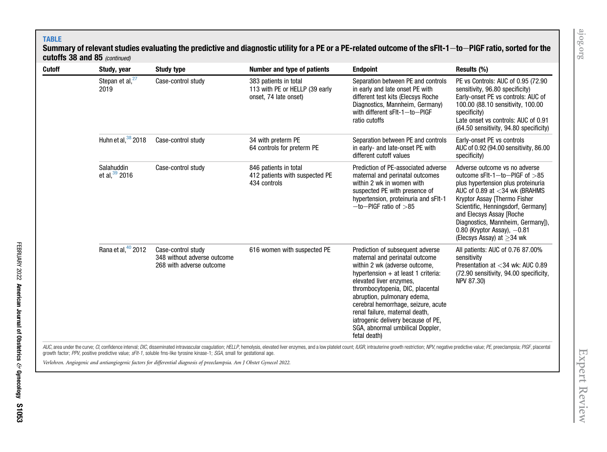## TABLE

## Summary of relevant studies evaluating the predictive and diagnostic utility for a PE or a PE-related outcome of the sFIt-1 $-$ to $-$ PlGF ratio, sorted for the cutoffs 38 and 85  $_{(continued)}$

| Cutoff | Study, year                    | <b>Study type</b>                                                             | Number and type of patients                                                      | <b>Endpoint</b>                                                                                                                                                                                                                                                                                                                                                                                               | Results (%)                                                                                                                                                                                                                                                                                                                                          |
|--------|--------------------------------|-------------------------------------------------------------------------------|----------------------------------------------------------------------------------|---------------------------------------------------------------------------------------------------------------------------------------------------------------------------------------------------------------------------------------------------------------------------------------------------------------------------------------------------------------------------------------------------------------|------------------------------------------------------------------------------------------------------------------------------------------------------------------------------------------------------------------------------------------------------------------------------------------------------------------------------------------------------|
|        | Stepan et al, $^{27}$<br>2019  | Case-control study                                                            | 383 patients in total<br>113 with PE or HELLP (39 early<br>onset, 74 late onset) | Separation between PE and controls<br>in early and late onset PE with<br>different test kits (Elecsys Roche<br>Diagnostics, Mannheim, Germany)<br>with different sFIt-1-to-PIGF<br>ratio cutoffs                                                                                                                                                                                                              | PE vs Controls: AUC of 0.95 (72.90)<br>sensitivity, 96.80 specificity)<br>Early-onset PE vs controls: AUC of<br>100.00 (88.10 sensitivity, 100.00<br>specificity)<br>Late onset vs controls: AUC of 0.91<br>(64.50 sensitivity, 94.80 specificity)                                                                                                   |
|        | Huhn et al, $38$ 2018          | Case-control study                                                            | 34 with preterm PE<br>64 controls for preterm PE                                 | Separation between PE and controls<br>in early- and late-onset PE with<br>different cutoff values                                                                                                                                                                                                                                                                                                             | Early-onset PE vs controls<br>AUC of 0.92 (94.00 sensitivity, 86.00<br>specificity)                                                                                                                                                                                                                                                                  |
|        | Salahuddin<br>et al, $39$ 2016 | Case-control study                                                            | 846 patients in total<br>412 patients with suspected PE<br>434 controls          | Prediction of PE-associated adverse<br>maternal and perinatal outcomes<br>within 2 wk in women with<br>suspected PE with presence of<br>hypertension, proteinuria and sFIt-1<br>$-$ to $-$ PIGF ratio of $>$ 85                                                                                                                                                                                               | Adverse outcome vs no adverse<br>outcome sFIt-1-to-PIGF of $>85$<br>plus hypertension plus proteinuria<br>AUC of 0.89 at $<$ 34 wk (BRAHMS<br>Kryptor Assay [Thermo Fisher<br>Scientific, Henningsdorf, Germany]<br>and Elecsys Assay [Roche<br>Diagnostics, Mannheim, Germany]),<br>$0.80$ (Kryptor Assay), $-0.81$<br>(Elecsys Assay) at $>$ 34 wk |
|        | Rana et al, 40 2012            | Case-control study<br>348 without adverse outcome<br>268 with adverse outcome | 616 women with suspected PE                                                      | Prediction of subsequent adverse<br>maternal and perinatal outcome<br>within 2 wk (adverse outcome,<br>hypertension $+$ at least 1 criteria:<br>elevated liver enzymes,<br>thrombocytopenia, DIC, placental<br>abruption, pulmonary edema,<br>cerebral hemorrhage, seizure, acute<br>renal failure, maternal death,<br>iatrogenic delivery because of PE,<br>SGA, abnormal umbilical Doppler,<br>fetal death) | All patients: AUC of 0.76 87.00%<br>sensitivity<br>Presentation at <34 wk: AUC 0.89<br>(72.90 sensitivity, 94.00 specificity,<br>NPV 87.30)                                                                                                                                                                                                          |

AUC, area under the curve; CI, confidence interval; DIC, disseminated intravascular coagulation; HELLP, hemolysis, elevated liver enzymes, and a low platelet count; IUGR, intrauterine growth restriction; NPV, negative pred growth factor; PPV, positive predictive value; sFlt-1, soluble fms-like tyrosine kinase-1; SGA, small for gestational age.

Verlohren. Angiogenic and antiangiogenic factors for differential diagnosis of preeclampsia. Am J Obstet Gynecol 2022.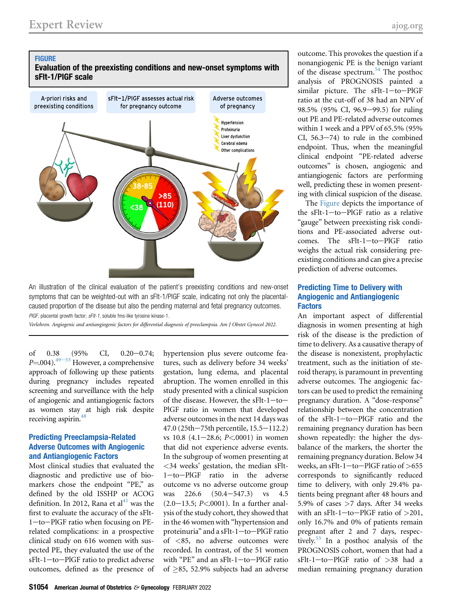<span id="page-6-0"></span>



An illustration of the clinical evaluation of the patient's preexisting conditions and new-onset symptoms that can be weighted-out with an sFlt-1/PlGF scale, indicating not only the placentalcaused proportion of the disease but also the pending maternal and fetal pregnancy outcomes. PIGF, placental growth factor; sFIt-1, soluble fms-like tyrosine kinase-1.

Verlohren. Angiogenic and antiangiogenic factors for differential diagnosis of preeclampsia. Am J Obstet Gynecol 2022.

of  $0.38$   $(95\%$  CI,  $0.20-0.74;$  $P=0.004$ .<sup>[49](#page-9-28)-53</sup> However, a comprehensive approach of following up these patients during pregnancy includes repeated screening and surveillance with the help of angiogenic and antiangiogenic factors as women stay at high risk despite receiving aspirin.<sup>48</sup>

## Predicting Preeclampsia-Related Adverse Outcomes with Angiogenic and Antiangiogenic Factors

Most clinical studies that evaluated the diagnostic and predictive use of biomarkers chose the endpoint "PE," as defined by the old ISSHP or ACOG definition. In 2012, Rana et  $al<sup>41</sup>$  $al<sup>41</sup>$  $al<sup>41</sup>$  was the first to evaluate the accuracy of the sFlt- $1$ -to-PlGF ratio when focusing on PErelated complications: in a prospective clinical study on 616 women with suspected PE, they evaluated the use of the sFlt-1-to-PlGF ratio to predict adverse outcomes, defined as the presence of hypertension plus severe outcome features, such as delivery before 34 weeks' gestation, lung edema, and placental abruption. The women enrolled in this study presented with a clinical suspicion of the disease. However, the sFlt-1-to-PlGF ratio in women that developed adverse outcomes in the next 14 days was  $47.0$  (25th $-75$ th percentile, 15.5 $-112.2$ ) vs  $10.8$  (4.1-28.6; P<0001) in women that did not experience adverse events. In the subgroup of women presenting at <34 weeks' gestation, the median sFlt-1-to-PlGF ratio in the adverse outcome vs no adverse outcome group was  $226.6$   $(50.4-547.3)$  vs  $4.5$  $(2.0-13.5; P<.0001)$ . In a further analysis of the study cohort, they showed that in the 46 women with "hypertension and proteinuria" and a sFlt-1-to-PlGF ratio of <85, no adverse outcomes were recorded. In contrast, of the 51 women with "PE" and an sFlt-1-to-PlGF ratio of  $\geq$ 85, 52.9% subjects had an adverse

outcome. This provokes the question if a nonangiogenic PE is the benign variant of the disease spectrum.<sup>[54](#page-10-0)</sup> The posthoc analysis of PROGNOSIS painted a similar picture. The  $sFlt-1$ -to-PlGF ratio at the cut-off of 38 had an NPV of 98.5% (95% CI, 96.9–99.5) for ruling out PE and PE-related adverse outcomes within 1 week and a PPV of 65.5% (95% CI,  $56.3-74$ ) to rule in the combined endpoint. Thus, when the meaningful clinical endpoint "PE-related adverse outcomes" is chosen, angiogenic and antiangiogenic factors are performing well, predicting these in women presenting with clinical suspicion of the disease.

The [Figure](#page-6-0) depicts the importance of the sFlt-1-to-PlGF ratio as a relative "gauge" between preexisting risk conditions and PE-associated adverse outcomes. The  $sFlt-1$ -to-PlGF ratio weighs the actual risk considering preexisting conditions and can give a precise prediction of adverse outcomes.

## Predicting Time to Delivery with Angiogenic and Antiangiogenic **Factors**

An important aspect of differential diagnosis in women presenting at high risk of the disease is the prediction of time to delivery. As a causative therapy of the disease is nonexistent, prophylactic treatment, such as the initiation of steroid therapy, is paramount in preventing adverse outcomes. The angiogenic factors can be used to predict the remaining pregnancy duration. A "dose-response" relationship between the concentration of the  $sFlt-1$ -to-PlGF ratio and the remaining pregnancy duration has been shown repeatedly: the higher the dysbalance of the markers, the shorter the remaining pregnancy duration. Below 34 weeks, an sFlt-1-to-PlGF ratio of  $>655$ corresponds to significantly reduced time to delivery, with only 29.4% patients being pregnant after 48 hours and 5.9% of cases >7 days. After 34 weeks with an sFlt-1-to-PlGF ratio of  $>201$ , only 16.7% and 0% of patients remain pregnant after 2 and 7 days, respectively.[55](#page-10-1) In a posthoc analysis of the PROGNOSIS cohort, women that had a  $sFlt-1$ -to-PlGF ratio of  $>38$  had a median remaining pregnancy duration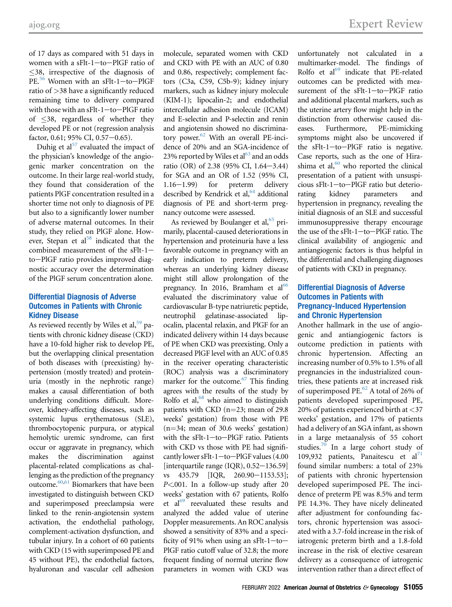of 17 days as compared with 51 days in women with a sFlt-1 $-to$ -PlGF ratio of 38, irrespective of the diagnosis of  $PE<sup>56</sup>$  $PE<sup>56</sup>$  $PE<sup>56</sup>$  Women with an sFlt-1-to-PlGF ratio of >38 have a significantly reduced remaining time to delivery compared with those with an  $sF$ lt-1-to-PlGF ratio of  $\leq$ 38, regardless of whether they developed PE or not (regression analysis factor,  $0.61$ ;  $95\%$  CI,  $0.57-0.65$ ).

Duhig et al $57$  evaluated the impact of the physician's knowledge of the angiogenic marker concentration on the outcome. In their large real-world study, they found that consideration of the patients PlGF concentration resulted in a shorter time not only to diagnosis of PE but also to a significantly lower number of adverse maternal outcomes. In their study, they relied on PlGF alone. However, Stepan et al $58$  indicated that the combined measurement of the  $sFlt-1$ to-PlGF ratio provides improved diagnostic accuracy over the determination of the PlGF serum concentration alone.

## Differential Diagnosis of Adverse Outcomes in Patients with Chronic Kidney Disease

As reviewed recently by Wiles et al,  $59$  patients with chronic kidney disease (CKD) have a 10-fold higher risk to develop PE, but the overlapping clinical presentation of both diseases with (preexisting) hypertension (mostly treated) and proteinuria (mostly in the nephrotic range) makes a causal differentiation of both underlying conditions difficult. Moreover, kidney-affecting diseases, such as systemic lupus erythematosus (SLE), thrombocytopenic purpura, or atypical hemolytic uremic syndrome, can first occur or aggravate in pregnancy, which makes the discrimination against placental-related complications as challenging as the prediction of the pregnancy outcome[.60](#page-10-6)[,61](#page-10-7) Biomarkers that have been investigated to distinguish between CKD and superimposed preeclampsia were linked to the renin-angiotensin system activation, the endothelial pathology, complement-activation dysfunction, and tubular injury. In a cohort of 60 patients with CKD (15 with superimposed PE and 45 without PE), the endothelial factors, hyaluronan and vascular cell adhesion

molecule, separated women with CKD and CKD with PE with an AUC of 0.80 and 0.86, respectively; complement factors (C3a, C59, C5b-9); kidney injury markers, such as kidney injury molecule (KIM-1); lipocalin-2; and endothelial intercellular adhesion molecule (ICAM) and E-selectin and P-selectin and renin and angiotensin showed no discriminatory power. $62$  With an overall PE-incidence of 20% and an SGA-incidence of 23% reported by Wiles et al<sup>63</sup> and an odds ratio (OR) of 2.38 (95% CI,  $1.64 - 3.44$ ) for SGA and an OR of 1.52 (95% CI,  $1.16-1.99$  for preterm delivery described by Kendrick et al,  $64$  additional diagnosis of PE and short-term pregnancy outcome were assessed.

As reviewed by Boulanger et al,  $65$  primarily, placental-caused deteriorations in hypertension and proteinuria have a less favorable outcome in pregnancy with an early indication to preterm delivery, whereas an underlying kidney disease might still allow prolongation of the pregnancy. In 2016, Bramham et  $al^{66}$  $al^{66}$  $al^{66}$ evaluated the discriminatory value of cardiovascular B-type natriuretic peptide, neutrophil gelatinase-associated lipocalin, placental relaxin, and PlGF for an indicated delivery within 14 days because of PE when CKD was preexisting. Only a decreased PlGF level with an AUC of 0.85 in the receiver operating characteristic (ROC) analysis was a discriminatory marker for the outcome.<sup>67</sup> This finding agrees with the results of the study by Rolfo et al, $68$  who aimed to distinguish patients with CKD ( $n=23$ ; mean of 29.8) weeks' gestation) from those with PE  $(n=34;$  mean of 30.6 weeks' gestation) with the sFlt-1-to-PlGF ratio. Patients with CKD vs those with PE had significantly lower sFlt-1-to-PlGF values  $(4.00$ [interquartile range (IQR),  $0.52-136.59$ ] vs  $435.79$  [IQR,  $260.90 - 1153.53$ ]; P<.001. In a follow-up study after 20 weeks' gestation with 67 patients, Rolfo et  $al<sup>69</sup>$  $al<sup>69</sup>$  $al<sup>69</sup>$  reevaluated these results and analyzed the added value of uterine Doppler measurements. An ROC analysis showed a sensitivity of 83% and a specificity of 91% when using an sFlt-1-to-PlGF ratio cutoff value of 32.8; the more frequent finding of normal uterine flow parameters in women with CKD was

unfortunately not calculated in a multimarker-model. The findings of Rolfo et  $al^{69}$  $al^{69}$  $al^{69}$  indicate that PE-related outcomes can be predicted with measurement of the  $sFlt-1$ -to-PlGF ratio and additional placental markers, such as the uterine artery flow might help in the distinction from otherwise caused diseases. Furthermore, PE-mimicking symptoms might also be uncovered if the  $sFlt-1$ -to-PlGF ratio is negative. Case reports, such as the one of Hirashima et al, $60$  who reported the clinical presentation of a patient with unsuspicious sFlt-1-to-PlGF ratio but deteriorating kidney parameters and hypertension in pregnancy, revealing the initial diagnosis of an SLE and successful immunosuppressive therapy encourage the use of the  $sFlt-1$ -to-PlGF ratio. The clinical availability of angiogenic and antiangiogenic factors is thus helpful in the differential and challenging diagnoses of patients with CKD in pregnancy.

## Differential Diagnosis of Adverse Outcomes in Patients with Pregnancy-Induced Hypertension and Chronic Hypertension

Another hallmark in the use of angiogenic and antiangiogenic factors is outcome prediction in patients with chronic hypertension. Affecting an increasing number of 0.5% to 1.5% of all pregnancies in the industrialized countries, these patients are at increased risk of superimposed PE. $^{62}$  $^{62}$  $^{62}$  A total of 26% of patients developed superimposed PE, 20% of patients experienced birth at <37 weeks' gestation, and 17% of patients had a delivery of an SGA infant, as shown in a large metaanalysis of 55 cohort studies.<sup>[70](#page-10-16)</sup> In a large cohort study of 109,932 patients, Panaitescu et  $al^{71}$  $al^{71}$  $al^{71}$ found similar numbers: a total of 23% of patients with chronic hypertension developed superimposed PE. The incidence of preterm PE was 8.5% and term PE 14.3%. They have nicely delineated after adjustment for confounding factors, chronic hypertension was associated with a 3.7-fold increase in the risk of iatrogenic preterm birth and a 1.8-fold increase in the risk of elective cesarean delivery as a consequence of iatrogenic intervention rather than a direct effect of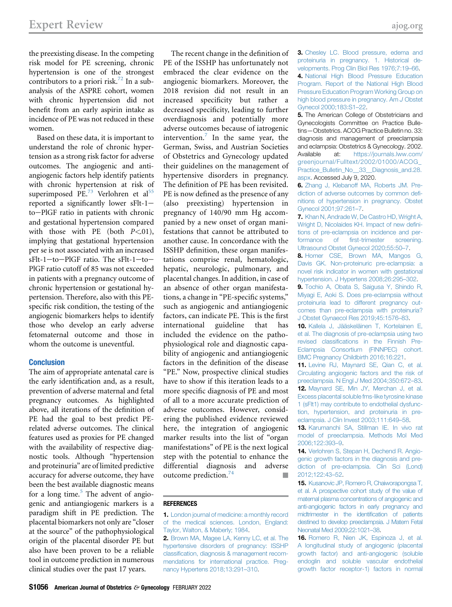the preexisting disease. In the competing risk model for PE screening, chronic hypertension is one of the strongest contributors to a priori risk.<sup>[72](#page-10-18)</sup> In a subanalysis of the ASPRE cohort, women with chronic hypertension did not benefit from an early aspirin intake as incidence of PE was not reduced in these women.

Based on these data, it is important to understand the role of chronic hypertension as a strong risk factor for adverse outcomes. The angiogenic and antiangiogenic factors help identify patients with chronic hypertension at risk of superimposed PE.<sup>[73](#page-10-19)</sup> Verlohren et al<sup>[55](#page-10-1)</sup> reported a significantly lower  $sFlt-1$ to-PlGF ratio in patients with chronic and gestational hypertension compared with those with PE (both  $P \le 01$ ), implying that gestational hypertension per se is not associated with an increased  $sFlt-1$ -to-PlGF ratio. The  $sFlt-1$ -to-PlGF ratio cutoff of 85 was not exceeded in patients with a pregnancy outcome of chronic hypertension or gestational hypertension. Therefore, also with this PEspecific risk condition, the testing of the angiogenic biomarkers helps to identify those who develop an early adverse fetomaternal outcome and those in whom the outcome is uneventful.

#### **Conclusion**

The aim of appropriate antenatal care is the early identification and, as a result, prevention of adverse maternal and fetal pregnancy outcomes. As highlighted above, all iterations of the definition of PE had the goal to best predict PErelated adverse outcomes. The clinical features used as proxies for PE changed with the availability of respective diagnostic tools. Although "hypertension and proteinuria" are of limited predictive accuracy for adverse outcome, they have been the best available diagnostic means for a long time. $5$  The advent of angiogenic and antiangiogenic markers is a paradigm shift in PE prediction. The placental biomarkers not only are "closer at the source" of the pathophysiological origin of the placental disorder PE but also have been proven to be a reliable tool in outcome prediction in numerous clinical studies over the past 17 years.

The recent change in the definition of PE of the ISSHP has unfortunately not embraced the clear evidence on the angiogenic biomarkers. Moreover, the 2018 revision did not result in an increased specificity but rather a decreased specificity, leading to further overdiagnosis and potentially more adverse outcomes because of iatrogenic intervention.<sup>[7](#page-8-6)</sup> In the same year, the German, Swiss, and Austrian Societies of Obstetrics and Gynecology updated their guidelines on the management of hypertensive disorders in pregnancy. The definition of PE has been revisited. PE is now defined as the presence of any (also preexisting) hypertension in pregnancy of 140/90 mm Hg accompanied by a new onset of organ manifestations that cannot be attributed to another cause. In concordance with the ISSHP definition, these organ manifestations comprise renal, hematologic, hepatic, neurologic, pulmonary, and placental changes. In addition, in case of an absence of other organ manifestations, a change in "PE-specific systems," such as angiogenic and antiangiogenic factors, can indicate PE. This is the first international guideline that has included the evidence on the pathophysiological role and diagnostic capability of angiogenic and antiangiogenic factors in the definition of the disease "PE." Now, prospective clinical studies have to show if this iteration leads to a more specific diagnosis of PE and most of all to a more accurate prediction of adverse outcomes. However, considering the published evidence reviewed here, the integration of angiogenic marker results into the list of "organ manifestations" of PE is the next logical step with the potential to enhance the differential diagnosis and adverse outcome prediction.<sup>[74](#page-10-20)</sup>

#### <span id="page-8-0"></span>REFERENCES

<span id="page-8-1"></span>2. [Brown MA, Magee LA, Kenny LC, et al. The](http://refhub.elsevier.com/S0002-9378(20)31169-8/sref2) [hypertensive disorders of pregnancy: ISSHP](http://refhub.elsevier.com/S0002-9378(20)31169-8/sref2) classifi[cation, diagnosis & management recom](http://refhub.elsevier.com/S0002-9378(20)31169-8/sref2)[mendations for international practice. Preg](http://refhub.elsevier.com/S0002-9378(20)31169-8/sref2)[nancy Hypertens 2018;13:291](http://refhub.elsevier.com/S0002-9378(20)31169-8/sref2)–310.

<span id="page-8-3"></span><span id="page-8-2"></span>3. [Chesley LC. Blood pressure, edema and](http://refhub.elsevier.com/S0002-9378(20)31169-8/sref3) [proteinuria in pregnancy. 1. Historical de](http://refhub.elsevier.com/S0002-9378(20)31169-8/sref3)[velopments. Prog Clin Biol Res 1976;7:19](http://refhub.elsevier.com/S0002-9378(20)31169-8/sref3)–66. 4. [National High Blood Pressure Education](http://refhub.elsevier.com/S0002-9378(20)31169-8/sref4) [Program. Report of the National High Blood](http://refhub.elsevier.com/S0002-9378(20)31169-8/sref4) [Pressure Education Program Working Group on](http://refhub.elsevier.com/S0002-9378(20)31169-8/sref4) [high blood pressure in pregnancy. Am](http://refhub.elsevier.com/S0002-9378(20)31169-8/sref4) J Obstet [Gynecol 2000;183:S1](http://refhub.elsevier.com/S0002-9378(20)31169-8/sref4)–22.

<span id="page-8-4"></span>**5.** The American College of Obstetricians and Gynecologists Committee on Practice Bulletins—Obstetrics. ACOG Practice Bulletin no. 33: diagnosis and management of preeclampsia and eclampsia: Obstetrics & Gynecology. 2002. Available at: [https://journals.lww.com/](https://journals.lww.com/greenjournal/Fulltext/2002/01000/ACOG_Practice_Bulletin_No__33__Diagnosis_and.28.aspx) [greenjournal/Fulltext/2002/01000/ACOG\\_](https://journals.lww.com/greenjournal/Fulltext/2002/01000/ACOG_Practice_Bulletin_No__33__Diagnosis_and.28.aspx) [Practice\\_Bulletin\\_No\\_\\_33\\_\\_Diagnosis\\_and.28.](https://journals.lww.com/greenjournal/Fulltext/2002/01000/ACOG_Practice_Bulletin_No__33__Diagnosis_and.28.aspx) [aspx.](https://journals.lww.com/greenjournal/Fulltext/2002/01000/ACOG_Practice_Bulletin_No__33__Diagnosis_and.28.aspx) Accessed July 9, 2020.

<span id="page-8-5"></span>6. [Zhang J, Klebanoff MA, Roberts JM. Pre](http://refhub.elsevier.com/S0002-9378(20)31169-8/sref6)[diction of adverse outcomes by common de](http://refhub.elsevier.com/S0002-9378(20)31169-8/sref6)fi[nitions of hypertension in pregnancy. Obstet](http://refhub.elsevier.com/S0002-9378(20)31169-8/sref6) [Gynecol 2001;97:261](http://refhub.elsevier.com/S0002-9378(20)31169-8/sref6)–7.

<span id="page-8-6"></span>7. [Khan N, Andrade W, De Castro HD, Wright A,](http://refhub.elsevier.com/S0002-9378(20)31169-8/sref7) [Wright D, Nicolaides KH. Impact of new de](http://refhub.elsevier.com/S0002-9378(20)31169-8/sref7)fini[tions of pre-eclampsia on incidence and per](http://refhub.elsevier.com/S0002-9378(20)31169-8/sref7)formance of fi[rst-trimester screening.](http://refhub.elsevier.com/S0002-9378(20)31169-8/sref7) [Ultrasound Obstet Gynecol 2020;55:50](http://refhub.elsevier.com/S0002-9378(20)31169-8/sref7)–7.

<span id="page-8-7"></span>8. [Homer CSE, Brown MA, Mangos G,](http://refhub.elsevier.com/S0002-9378(20)31169-8/sref8) [Davis GK. Non-proteinuric pre-eclampsia: a](http://refhub.elsevier.com/S0002-9378(20)31169-8/sref8) [novel risk indicator in women with gestational](http://refhub.elsevier.com/S0002-9378(20)31169-8/sref8) [hypertension. J Hypertens 2008;26:295](http://refhub.elsevier.com/S0002-9378(20)31169-8/sref8)–302.

<span id="page-8-8"></span>9. [Tochio A, Obata S, Saigusa Y, Shindo R,](http://refhub.elsevier.com/S0002-9378(20)31169-8/sref9) [Miyagi E, Aoki S. Does pre-eclampsia without](http://refhub.elsevier.com/S0002-9378(20)31169-8/sref9) [proteinuria lead to different pregnancy out](http://refhub.elsevier.com/S0002-9378(20)31169-8/sref9)[comes than pre-eclampsia with proteinuria?](http://refhub.elsevier.com/S0002-9378(20)31169-8/sref9) [J Obstet Gynaecol Res 2019;45:1576](http://refhub.elsevier.com/S0002-9378(20)31169-8/sref9)–83.

<span id="page-8-9"></span>10. [Kallela J, Jääskeläinen T, Kortelainen E,](http://refhub.elsevier.com/S0002-9378(20)31169-8/sref10) [et al. The diagnosis of pre-eclampsia using two](http://refhub.elsevier.com/S0002-9378(20)31169-8/sref10) revised classifi[cations in the Finnish Pre-](http://refhub.elsevier.com/S0002-9378(20)31169-8/sref10)[Eclampsia Consortium \(FINNPEC\) cohort.](http://refhub.elsevier.com/S0002-9378(20)31169-8/sref10) [BMC Pregnancy Childbirth 2016;16:221](http://refhub.elsevier.com/S0002-9378(20)31169-8/sref10).

<span id="page-8-11"></span><span id="page-8-10"></span>11. [Levine RJ, Maynard SE, Qian C, et al.](http://refhub.elsevier.com/S0002-9378(20)31169-8/sref11) [Circulating angiogenic factors and the risk of](http://refhub.elsevier.com/S0002-9378(20)31169-8/sref11) [preeclampsia. N Engl](http://refhub.elsevier.com/S0002-9378(20)31169-8/sref11) J Med 2004;350:672–83. 12. [Maynard SE, Min JY, Merchan J, et al.](http://refhub.elsevier.com/S0002-9378(20)31169-8/sref12) [Excess placental soluble fms-like tyrosine kinase](http://refhub.elsevier.com/S0002-9378(20)31169-8/sref12) [1 \(sFlt1\) may contribute to endothelial dysfunc](http://refhub.elsevier.com/S0002-9378(20)31169-8/sref12)[tion, hypertension, and proteinuria in pre](http://refhub.elsevier.com/S0002-9378(20)31169-8/sref12)[eclampsia. J Clin Invest 2003;111:649](http://refhub.elsevier.com/S0002-9378(20)31169-8/sref12)–58.

<span id="page-8-12"></span>13. [Karumanchi SA, Stillman IE. In vivo rat](http://refhub.elsevier.com/S0002-9378(20)31169-8/sref13) [model of preeclampsia. Methods Mol Med](http://refhub.elsevier.com/S0002-9378(20)31169-8/sref13) [2006;122:393](http://refhub.elsevier.com/S0002-9378(20)31169-8/sref13)–9.

<span id="page-8-13"></span>14. [Verlohren S, Stepan H, Dechend R. Angio](http://refhub.elsevier.com/S0002-9378(20)31169-8/sref14)[genic growth factors in the diagnosis and pre](http://refhub.elsevier.com/S0002-9378(20)31169-8/sref14)[diction of pre-eclampsia. Clin Sci \(Lond\)](http://refhub.elsevier.com/S0002-9378(20)31169-8/sref14) [2012;122:43](http://refhub.elsevier.com/S0002-9378(20)31169-8/sref14)–52.

<span id="page-8-14"></span>15. [Kusanovic JP, Romero R, Chaiworapongsa T,](http://refhub.elsevier.com/S0002-9378(20)31169-8/sref15) [et al. A prospective cohort study of the value of](http://refhub.elsevier.com/S0002-9378(20)31169-8/sref15) [maternal plasma concentrations of angiogenic and](http://refhub.elsevier.com/S0002-9378(20)31169-8/sref15) [anti-angiogenic factors in early pregnancy and](http://refhub.elsevier.com/S0002-9378(20)31169-8/sref15) [midtrimester in the identi](http://refhub.elsevier.com/S0002-9378(20)31169-8/sref15)fication of patients [destined to develop preeclampsia. J Matern Fetal](http://refhub.elsevier.com/S0002-9378(20)31169-8/sref15) [Neonatal Med 2009;22:1021](http://refhub.elsevier.com/S0002-9378(20)31169-8/sref15)–38.

16. [Romero R, Nien JK, Espinoza J, et al.](http://refhub.elsevier.com/S0002-9378(20)31169-8/sref16) [A longitudinal study of angiogenic \(placental](http://refhub.elsevier.com/S0002-9378(20)31169-8/sref16) [growth factor\) and anti-angiogenic \(soluble](http://refhub.elsevier.com/S0002-9378(20)31169-8/sref16) [endoglin and soluble vascular endothelial](http://refhub.elsevier.com/S0002-9378(20)31169-8/sref16) [growth factor receptor-1\) factors in normal](http://refhub.elsevier.com/S0002-9378(20)31169-8/sref16)

<sup>1.</sup> [London journal of medicine: a monthly record](http://refhub.elsevier.com/S0002-9378(20)31169-8/sref1) [of the medical sciences. London, England:](http://refhub.elsevier.com/S0002-9378(20)31169-8/sref1) [Taylor, Walton, & Maberly; 1984](http://refhub.elsevier.com/S0002-9378(20)31169-8/sref1).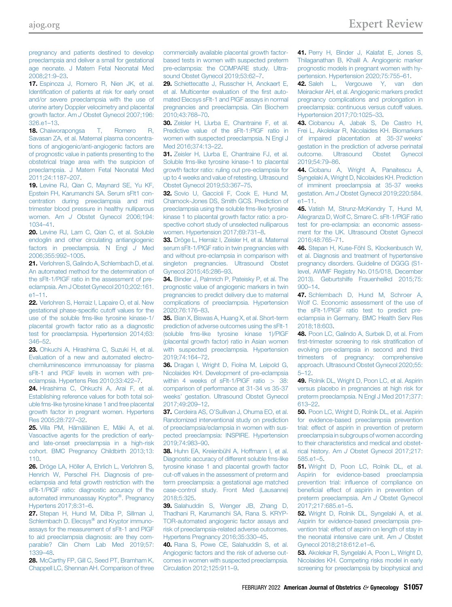<span id="page-9-15"></span>[pregnancy and patients destined to develop](http://refhub.elsevier.com/S0002-9378(20)31169-8/sref16) [preeclampsia and deliver a small for gestational](http://refhub.elsevier.com/S0002-9378(20)31169-8/sref16) [age neonate. J Matern Fetal Neonatal Med](http://refhub.elsevier.com/S0002-9378(20)31169-8/sref16) [2008;21:9](http://refhub.elsevier.com/S0002-9378(20)31169-8/sref16)–23.

17. [Espinoza J, Romero R, Nien JK, et al.](http://refhub.elsevier.com/S0002-9378(20)31169-8/sref17) Identifi[cation of patients at risk for early onset](http://refhub.elsevier.com/S0002-9378(20)31169-8/sref17) [and/or severe preeclampsia with the use of](http://refhub.elsevier.com/S0002-9378(20)31169-8/sref17) [uterine artery Doppler velocimetry and placental](http://refhub.elsevier.com/S0002-9378(20)31169-8/sref17) growth factor. Am J [Obstet Gynecol 2007;196:](http://refhub.elsevier.com/S0002-9378(20)31169-8/sref17) [326.e1](http://refhub.elsevier.com/S0002-9378(20)31169-8/sref17)–13.

18. [Chaiworapongsa T, Romero R,](http://refhub.elsevier.com/S0002-9378(20)31169-8/sref18) [Savasan ZA, et al. Maternal plasma concentra](http://refhub.elsevier.com/S0002-9378(20)31169-8/sref18)[tions of angiogenic/anti-angiogenic factors are](http://refhub.elsevier.com/S0002-9378(20)31169-8/sref18) [of prognostic value in patients presenting to the](http://refhub.elsevier.com/S0002-9378(20)31169-8/sref18) [obstetrical triage area with the suspicion of](http://refhub.elsevier.com/S0002-9378(20)31169-8/sref18) [preeclampsia. J Matern Fetal Neonatal Med](http://refhub.elsevier.com/S0002-9378(20)31169-8/sref18) [2011;24:1187](http://refhub.elsevier.com/S0002-9378(20)31169-8/sref18)–207.

<span id="page-9-27"></span>19. [Levine RJ, Qian C, Maynard SE, Yu KF,](http://refhub.elsevier.com/S0002-9378(20)31169-8/sref19) [Epstein FH, Karumanchi SA. Serum sFlt1 con](http://refhub.elsevier.com/S0002-9378(20)31169-8/sref19)[centration during preeclampsia and mid](http://refhub.elsevier.com/S0002-9378(20)31169-8/sref19) [trimester blood pressure in healthy nulliparous](http://refhub.elsevier.com/S0002-9378(20)31169-8/sref19) women. Am J [Obstet Gynecol 2006;194:](http://refhub.elsevier.com/S0002-9378(20)31169-8/sref19) [1034](http://refhub.elsevier.com/S0002-9378(20)31169-8/sref19)–41.

20. [Levine RJ, Lam C, Qian C, et al. Soluble](http://refhub.elsevier.com/S0002-9378(20)31169-8/sref20) [endoglin and other circulating antiangiogenic](http://refhub.elsevier.com/S0002-9378(20)31169-8/sref20) [factors in preeclampsia. N Engl](http://refhub.elsevier.com/S0002-9378(20)31169-8/sref20) J Med [2006;355:992](http://refhub.elsevier.com/S0002-9378(20)31169-8/sref20)–1005.

<span id="page-9-0"></span>21. [Verlohren S, Galindo A, Schlembach D, et al.](http://refhub.elsevier.com/S0002-9378(20)31169-8/sref21) [An automated method for the determination of](http://refhub.elsevier.com/S0002-9378(20)31169-8/sref21) [the sFlt-1/PIGF ratio in the assessment of pre](http://refhub.elsevier.com/S0002-9378(20)31169-8/sref21)[eclampsia. Am J Obstet Gynecol 2010;202:161.](http://refhub.elsevier.com/S0002-9378(20)31169-8/sref21) e1–[11](http://refhub.elsevier.com/S0002-9378(20)31169-8/sref21).

<span id="page-9-2"></span>22. [Verlohren S, Herraiz I, Lapaire O, et al. New](http://refhub.elsevier.com/S0002-9378(20)31169-8/sref22) [gestational phase-speci](http://refhub.elsevier.com/S0002-9378(20)31169-8/sref22)fic cutoff values for the [use of the soluble fms-like tyrosine kinase-1/](http://refhub.elsevier.com/S0002-9378(20)31169-8/sref22) [placental growth factor ratio as a diagnostic](http://refhub.elsevier.com/S0002-9378(20)31169-8/sref22) [test for preeclampsia. Hypertension 2014;63:](http://refhub.elsevier.com/S0002-9378(20)31169-8/sref22) [346](http://refhub.elsevier.com/S0002-9378(20)31169-8/sref22)–52.

23. [Ohkuchi A, Hirashima C, Suzuki H, et al.](http://refhub.elsevier.com/S0002-9378(20)31169-8/sref23) [Evaluation of a new and automated electro](http://refhub.elsevier.com/S0002-9378(20)31169-8/sref23)[chemiluminescence immunoassay for plasma](http://refhub.elsevier.com/S0002-9378(20)31169-8/sref23) sFlt-1 and PIGF levels in women with pre[eclampsia. Hypertens Res 2010;33:422](http://refhub.elsevier.com/S0002-9378(20)31169-8/sref23)–7.

24. [Hirashima C, Ohkuchi A, Arai F, et al.](http://refhub.elsevier.com/S0002-9378(20)31169-8/sref24) [Establishing reference values for both total sol](http://refhub.elsevier.com/S0002-9378(20)31169-8/sref24)[uble fms-like tyrosine kinase 1 and free placental](http://refhub.elsevier.com/S0002-9378(20)31169-8/sref24) [growth factor in pregnant women. Hypertens](http://refhub.elsevier.com/S0002-9378(20)31169-8/sref24) [Res 2005;28:727](http://refhub.elsevier.com/S0002-9378(20)31169-8/sref24)–32.

25. [Villa PM, Hämäläinen E, Mäki A, et al.](http://refhub.elsevier.com/S0002-9378(20)31169-8/sref25) [Vasoactive agents for the prediction of early](http://refhub.elsevier.com/S0002-9378(20)31169-8/sref25)[and late-onset preeclampsia in a high-risk](http://refhub.elsevier.com/S0002-9378(20)31169-8/sref25) [cohort. BMC Pregnancy Childbirth 2013;13:](http://refhub.elsevier.com/S0002-9378(20)31169-8/sref25) [110.](http://refhub.elsevier.com/S0002-9378(20)31169-8/sref25)

<span id="page-9-1"></span>26. [Dröge LA, Höller A, Ehrlich L, Verlohren S,](http://refhub.elsevier.com/S0002-9378(20)31169-8/sref26) [Henrich W, Perschel FH. Diagnosis of pre](http://refhub.elsevier.com/S0002-9378(20)31169-8/sref26)[eclampsia and fetal growth restriction with the](http://refhub.elsevier.com/S0002-9378(20)31169-8/sref26) [sFlt-1/PlGF ratio: diagnostic accuracy of the](http://refhub.elsevier.com/S0002-9378(20)31169-8/sref26) [automated](http://refhub.elsevier.com/S0002-9378(20)31169-8/sref26) [immunoassay](http://refhub.elsevier.com/S0002-9378(20)31169-8/sref26) [Kryptor](http://refhub.elsevier.com/S0002-9378(20)31169-8/sref26)®[. Pregnancy](http://refhub.elsevier.com/S0002-9378(20)31169-8/sref26) [Hypertens 2017;8:31](http://refhub.elsevier.com/S0002-9378(20)31169-8/sref26)–6.

27. [Stepan H, Hund M, Dilba P, Sillman J,](http://refhub.elsevier.com/S0002-9378(20)31169-8/sref27) [Schlembach](http://refhub.elsevier.com/S0002-9378(20)31169-8/sref27) [D.](http://refhub.elsevier.com/S0002-9378(20)31169-8/sref27) [Elecsys](http://refhub.elsevier.com/S0002-9378(20)31169-8/sref27)<sup>®</sup> [and Kryptor immuno](http://refhub.elsevier.com/S0002-9378(20)31169-8/sref27)[assays for the measurement of sFlt-1 and PlGF](http://refhub.elsevier.com/S0002-9378(20)31169-8/sref27) [to aid preeclampsia diagnosis: are they com](http://refhub.elsevier.com/S0002-9378(20)31169-8/sref27)[parable? Clin Chem Lab Med 2019;57:](http://refhub.elsevier.com/S0002-9378(20)31169-8/sref27) [1339](http://refhub.elsevier.com/S0002-9378(20)31169-8/sref27)–48.

28. [McCarthy FP, Gill C, Seed PT, Bramham K,](http://refhub.elsevier.com/S0002-9378(20)31169-8/sref28) [Chappell LC, Shennan AH. Comparison of three](http://refhub.elsevier.com/S0002-9378(20)31169-8/sref28) <span id="page-9-24"></span><span id="page-9-23"></span>[commercially available placental growth factor](http://refhub.elsevier.com/S0002-9378(20)31169-8/sref28)[based tests in women with suspected preterm](http://refhub.elsevier.com/S0002-9378(20)31169-8/sref28) [pre-eclampsia: the COMPARE study. Ultra](http://refhub.elsevier.com/S0002-9378(20)31169-8/sref28)[sound Obstet Gynecol 2019;53:62](http://refhub.elsevier.com/S0002-9378(20)31169-8/sref28)–7.

29. Schiettecatte J. Russcher H. Anckaert E. [et al. Multicenter evaluation of the](http://refhub.elsevier.com/S0002-9378(20)31169-8/sref29) first auto[mated Elecsys sFlt-1 and PlGF assays in normal](http://refhub.elsevier.com/S0002-9378(20)31169-8/sref29) [pregnancies and preeclampsia. Clin Biochem](http://refhub.elsevier.com/S0002-9378(20)31169-8/sref29) [2010;43:768](http://refhub.elsevier.com/S0002-9378(20)31169-8/sref29)–70.

<span id="page-9-3"></span>30. [Zeisler H, Llurba E, Chantraine F, et al.](http://refhub.elsevier.com/S0002-9378(20)31169-8/sref30) [Predictive value of the sFlt-1:PlGF ratio in](http://refhub.elsevier.com/S0002-9378(20)31169-8/sref30) [women with suspected preeclampsia. N Engl J](http://refhub.elsevier.com/S0002-9378(20)31169-8/sref30) [Med 2016;374:13](http://refhub.elsevier.com/S0002-9378(20)31169-8/sref30)–22.

<span id="page-9-26"></span><span id="page-9-25"></span><span id="page-9-20"></span><span id="page-9-4"></span>31. [Zeisler H, Llurba E, Chantraine FJ, et al.](http://refhub.elsevier.com/S0002-9378(20)31169-8/sref31) [Soluble fms-like tyrosine kinase-1 to placental](http://refhub.elsevier.com/S0002-9378(20)31169-8/sref31) [growth factor ratio: ruling out pre-eclampsia for](http://refhub.elsevier.com/S0002-9378(20)31169-8/sref31) [up to 4 weeks and value of retesting. Ultrasound](http://refhub.elsevier.com/S0002-9378(20)31169-8/sref31) [Obstet Gynecol 2019;53:367](http://refhub.elsevier.com/S0002-9378(20)31169-8/sref31)–75.

<span id="page-9-5"></span>32. [Sovio U, Gaccioli F, Cook E, Hund M,](http://refhub.elsevier.com/S0002-9378(20)31169-8/sref32) [Charnock-Jones DS, Smith GCS. Prediction of](http://refhub.elsevier.com/S0002-9378(20)31169-8/sref32) [preeclampsia using the soluble fms-like tyrosine](http://refhub.elsevier.com/S0002-9378(20)31169-8/sref32) [kinase 1 to placental growth factor ratio: a pro](http://refhub.elsevier.com/S0002-9378(20)31169-8/sref32)[spective cohort study of unselected nulliparous](http://refhub.elsevier.com/S0002-9378(20)31169-8/sref32) [women. Hypertension 2017;69:731](http://refhub.elsevier.com/S0002-9378(20)31169-8/sref32)–8.

<span id="page-9-6"></span>33. [Dröge L, Herraìz I, Zeisler H, et al. Maternal](http://refhub.elsevier.com/S0002-9378(20)31169-8/sref33) [serum sFlt-1/PlGF ratio in twin pregnancies with](http://refhub.elsevier.com/S0002-9378(20)31169-8/sref33) [and without pre-eclampsia in comparison with](http://refhub.elsevier.com/S0002-9378(20)31169-8/sref33) [singleton pregnancies. Ultrasound Obstet](http://refhub.elsevier.com/S0002-9378(20)31169-8/sref33) [Gynecol 2015;45:286](http://refhub.elsevier.com/S0002-9378(20)31169-8/sref33)–93.

<span id="page-9-7"></span>34. [Binder J, Palmrich P, Pateisky P, et al. The](http://refhub.elsevier.com/S0002-9378(20)31169-8/sref34) [prognostic value of angiogenic markers in twin](http://refhub.elsevier.com/S0002-9378(20)31169-8/sref34) [pregnancies to predict delivery due to maternal](http://refhub.elsevier.com/S0002-9378(20)31169-8/sref34) [complications of preeclampsia. Hypertension](http://refhub.elsevier.com/S0002-9378(20)31169-8/sref34) [2020;76:176](http://refhub.elsevier.com/S0002-9378(20)31169-8/sref34)–83.

<span id="page-9-8"></span>35. [Bian X, Biswas A, Huang X, et al. Short-term](http://refhub.elsevier.com/S0002-9378(20)31169-8/sref35) [prediction of adverse outcomes using the sFlt-1](http://refhub.elsevier.com/S0002-9378(20)31169-8/sref35) [\(soluble fms-like tyrosine kinase 1\)/PlGF](http://refhub.elsevier.com/S0002-9378(20)31169-8/sref35) [\(placental growth factor\) ratio in Asian women](http://refhub.elsevier.com/S0002-9378(20)31169-8/sref35) [with suspected preeclampsia. Hypertension](http://refhub.elsevier.com/S0002-9378(20)31169-8/sref35) [2019;74:164](http://refhub.elsevier.com/S0002-9378(20)31169-8/sref35)–72.

36. [Dragan I, Wright D, Fiolna M, Leipold G,](http://refhub.elsevier.com/S0002-9378(20)31169-8/sref36) [Nicolaides KH. Development of pre-eclampsia](http://refhub.elsevier.com/S0002-9378(20)31169-8/sref36) within 4 weeks of  $sF1-1/PIGF$  ratio  $> 38$ : [comparison of performance at 31-34 vs 35-37](http://refhub.elsevier.com/S0002-9378(20)31169-8/sref36) weeks' [gestation. Ultrasound Obstet Gynecol](http://refhub.elsevier.com/S0002-9378(20)31169-8/sref36) [2017;49:209](http://refhub.elsevier.com/S0002-9378(20)31169-8/sref36)–12.

37. Cerdeira AS, O'[Sullivan J, Ohuma EO, et al.](http://refhub.elsevier.com/S0002-9378(20)31169-8/sref37) [Randomized interventional study on prediction](http://refhub.elsevier.com/S0002-9378(20)31169-8/sref37) [of preeclampsia/eclampsia in women with sus](http://refhub.elsevier.com/S0002-9378(20)31169-8/sref37)[pected preeclampsia: INSPIRE. Hypertension](http://refhub.elsevier.com/S0002-9378(20)31169-8/sref37) [2019;74:983](http://refhub.elsevier.com/S0002-9378(20)31169-8/sref37)–90.

38. [Huhn EA, Kreienbühl A, Hoffmann I, et al.](http://refhub.elsevier.com/S0002-9378(20)31169-8/sref38) [Diagnostic accuracy of different soluble fms-like](http://refhub.elsevier.com/S0002-9378(20)31169-8/sref38) [tyrosine kinase 1 and placental growth factor](http://refhub.elsevier.com/S0002-9378(20)31169-8/sref38) [cut-off values in the assessment of preterm and](http://refhub.elsevier.com/S0002-9378(20)31169-8/sref38) [term preeclampsia: a gestational age matched](http://refhub.elsevier.com/S0002-9378(20)31169-8/sref38) [case-control study. Front Med \(Lausanne\)](http://refhub.elsevier.com/S0002-9378(20)31169-8/sref38) [2018;5:325.](http://refhub.elsevier.com/S0002-9378(20)31169-8/sref38)

39. [Salahuddin S, Wenger JB, Zhang D,](http://refhub.elsevier.com/S0002-9378(20)31169-8/sref39) [Thadhani R, Karumanchi SA, Rana S. KRYP-](http://refhub.elsevier.com/S0002-9378(20)31169-8/sref39)[TOR-automated angiogenic factor assays and](http://refhub.elsevier.com/S0002-9378(20)31169-8/sref39) [risk of preeclampsia-related adverse outcomes.](http://refhub.elsevier.com/S0002-9378(20)31169-8/sref39) [Hypertens Pregnancy 2016;35:330](http://refhub.elsevier.com/S0002-9378(20)31169-8/sref39)–45.

40. [Rana S, Powe CE, Salahuddin S, et al.](http://refhub.elsevier.com/S0002-9378(20)31169-8/sref40) [Angiogenic factors and the risk of adverse out](http://refhub.elsevier.com/S0002-9378(20)31169-8/sref40)[comes in women with suspected preeclampsia.](http://refhub.elsevier.com/S0002-9378(20)31169-8/sref40) [Circulation 2012;125:911](http://refhub.elsevier.com/S0002-9378(20)31169-8/sref40)–9.

<span id="page-9-22"></span><span id="page-9-21"></span><span id="page-9-9"></span>41. [Perry H, Binder J, Kalafat E, Jones S,](http://refhub.elsevier.com/S0002-9378(20)31169-8/sref41) [Thilaganathan B, Khalil A. Angiogenic marker](http://refhub.elsevier.com/S0002-9378(20)31169-8/sref41) [prognostic models in pregnant women with hy](http://refhub.elsevier.com/S0002-9378(20)31169-8/sref41)[pertension. Hypertension 2020;75:755](http://refhub.elsevier.com/S0002-9378(20)31169-8/sref41)–61.

<span id="page-9-10"></span>42. [Saleh L, Vergouwe Y, van den](http://refhub.elsevier.com/S0002-9378(20)31169-8/sref42) [Meiracker AH, et al. Angiogenic markers predict](http://refhub.elsevier.com/S0002-9378(20)31169-8/sref42) [pregnancy complications and prolongation in](http://refhub.elsevier.com/S0002-9378(20)31169-8/sref42) [preeclampsia: continuous versus cutoff values.](http://refhub.elsevier.com/S0002-9378(20)31169-8/sref42) [Hypertension 2017;70:1025](http://refhub.elsevier.com/S0002-9378(20)31169-8/sref42)–33.

<span id="page-9-11"></span>43. [Ciobanou A, Jabak S, De Castro H,](http://refhub.elsevier.com/S0002-9378(20)31169-8/sref43) [Frei L, Akolekar R, Nicolaides KH. Biomarkers](http://refhub.elsevier.com/S0002-9378(20)31169-8/sref43) [of impaired placentation at 35-37 weeks](http://refhub.elsevier.com/S0002-9378(20)31169-8/sref43)' [gestation in the prediction of adverse perinatal](http://refhub.elsevier.com/S0002-9378(20)31169-8/sref43) [outcome. Ultrasound Obstet Gynecol](http://refhub.elsevier.com/S0002-9378(20)31169-8/sref43) [2019;54:79](http://refhub.elsevier.com/S0002-9378(20)31169-8/sref43)–86.

<span id="page-9-19"></span><span id="page-9-18"></span><span id="page-9-17"></span><span id="page-9-16"></span><span id="page-9-12"></span>44. [Ciobanu A, Wright A, Panaitescu A,](http://refhub.elsevier.com/S0002-9378(20)31169-8/sref44) [Syngelaki A, Wright D, Nicolaides KH. Prediction](http://refhub.elsevier.com/S0002-9378(20)31169-8/sref44) [of imminent preeclampsia at 35-37 weeks](http://refhub.elsevier.com/S0002-9378(20)31169-8/sref44) gestation. Am J [Obstet Gynecol 2019;220:584.](http://refhub.elsevier.com/S0002-9378(20)31169-8/sref44) e1–[11.](http://refhub.elsevier.com/S0002-9378(20)31169-8/sref44)

<span id="page-9-13"></span>45. [Vatish M, Strunz-McKendry T, Hund M,](http://refhub.elsevier.com/S0002-9378(20)31169-8/sref45) [Allegranza D, Wolf C, Smare C. sFlt-1/PlGF ratio](http://refhub.elsevier.com/S0002-9378(20)31169-8/sref45) [test for pre-eclampsia: an economic assess](http://refhub.elsevier.com/S0002-9378(20)31169-8/sref45)[ment for the UK. Ultrasound Obstet Gynecol](http://refhub.elsevier.com/S0002-9378(20)31169-8/sref45) [2016;48:765](http://refhub.elsevier.com/S0002-9378(20)31169-8/sref45)–71.

46. [Stepan H, Kuse-Föhl S, Klockenbusch W,](http://refhub.elsevier.com/S0002-9378(20)31169-8/sref46) [et al. Diagnosis and treatment of hypertensive](http://refhub.elsevier.com/S0002-9378(20)31169-8/sref46) [pregnancy disorders. Guideline of DGGG \(S1](http://refhub.elsevier.com/S0002-9378(20)31169-8/sref46) [level, AWMF Registry No. 015/018, December](http://refhub.elsevier.com/S0002-9378(20)31169-8/sref46) [2013\). Geburtshilfe Frauenheilkd 2015;75:](http://refhub.elsevier.com/S0002-9378(20)31169-8/sref46) [900](http://refhub.elsevier.com/S0002-9378(20)31169-8/sref46)–14.

47. [Schlembach D, Hund M, Schroer A,](http://refhub.elsevier.com/S0002-9378(20)31169-8/sref47) [Wolf C. Economic assessment of the use of](http://refhub.elsevier.com/S0002-9378(20)31169-8/sref47) [the sFlt-1/PlGF ratio test to predict pre](http://refhub.elsevier.com/S0002-9378(20)31169-8/sref47)[eclampsia in Germany. BMC Health Serv Res](http://refhub.elsevier.com/S0002-9378(20)31169-8/sref47) [2018;18:603](http://refhub.elsevier.com/S0002-9378(20)31169-8/sref47).

<span id="page-9-14"></span>48. [Poon LC, Galindo A, Surbek D, et al. From](http://refhub.elsevier.com/S0002-9378(20)31169-8/sref48) fi[rst-trimester screening to risk strati](http://refhub.elsevier.com/S0002-9378(20)31169-8/sref48)fication of [evolving pre-eclampsia in second and third](http://refhub.elsevier.com/S0002-9378(20)31169-8/sref48) [trimesters of pregnancy: comprehensive](http://refhub.elsevier.com/S0002-9378(20)31169-8/sref48) [approach. Ultrasound Obstet Gynecol 2020;55:](http://refhub.elsevier.com/S0002-9378(20)31169-8/sref48) 5–[12.](http://refhub.elsevier.com/S0002-9378(20)31169-8/sref48)

<span id="page-9-28"></span>49. [Rolnik DL, Wright D, Poon LC, et al. Aspirin](http://refhub.elsevier.com/S0002-9378(20)31169-8/sref49) [versus placebo in pregnancies at high risk for](http://refhub.elsevier.com/S0002-9378(20)31169-8/sref49) [preterm preeclampsia. N Engl J Med 2017;377:](http://refhub.elsevier.com/S0002-9378(20)31169-8/sref49) [613](http://refhub.elsevier.com/S0002-9378(20)31169-8/sref49)–22.

50. [Poon LC, Wright D, Rolnik DL, et al. Aspirin](http://refhub.elsevier.com/S0002-9378(20)31169-8/sref50) [for evidence-based preeclampsia prevention](http://refhub.elsevier.com/S0002-9378(20)31169-8/sref50) [trial: effect of aspirin in prevention of preterm](http://refhub.elsevier.com/S0002-9378(20)31169-8/sref50) [preeclampsia in subgroups of women according](http://refhub.elsevier.com/S0002-9378(20)31169-8/sref50) [to their characteristics and medical and obstet](http://refhub.elsevier.com/S0002-9378(20)31169-8/sref50)rical history. Am J [Obstet Gynecol 2017;217:](http://refhub.elsevier.com/S0002-9378(20)31169-8/sref50) [585.e1](http://refhub.elsevier.com/S0002-9378(20)31169-8/sref50)–5.

51. [Wright D, Poon LC, Rolnik DL, et al.](http://refhub.elsevier.com/S0002-9378(20)31169-8/sref51) [Aspirin for evidence-based preeclampsia](http://refhub.elsevier.com/S0002-9378(20)31169-8/sref51) prevention trial: infl[uence of compliance on](http://refhub.elsevier.com/S0002-9378(20)31169-8/sref51) benefi[cial effect of aspirin in prevention of](http://refhub.elsevier.com/S0002-9378(20)31169-8/sref51) [preterm preeclampsia. Am](http://refhub.elsevier.com/S0002-9378(20)31169-8/sref51) J Obstet Gynecol [2017;217:685.e1](http://refhub.elsevier.com/S0002-9378(20)31169-8/sref51)–5.

52. [Wright D, Rolnik DL, Syngelaki A, et al.](http://refhub.elsevier.com/S0002-9378(20)31169-8/sref52) [Aspirin for evidence-based preeclampsia pre](http://refhub.elsevier.com/S0002-9378(20)31169-8/sref52)[vention trial: effect of aspirin on length of stay in](http://refhub.elsevier.com/S0002-9378(20)31169-8/sref52) [the neonatal intensive care unit. Am](http://refhub.elsevier.com/S0002-9378(20)31169-8/sref52) J Obstet [Gynecol 2018;218:612.e1](http://refhub.elsevier.com/S0002-9378(20)31169-8/sref52)–6.

53. [Akolekar R, Syngelaki A, Poon L, Wright D,](http://refhub.elsevier.com/S0002-9378(20)31169-8/sref53) [Nicolaides KH. Competing risks model in early](http://refhub.elsevier.com/S0002-9378(20)31169-8/sref53) [screening for preeclampsia by biophysical and](http://refhub.elsevier.com/S0002-9378(20)31169-8/sref53)